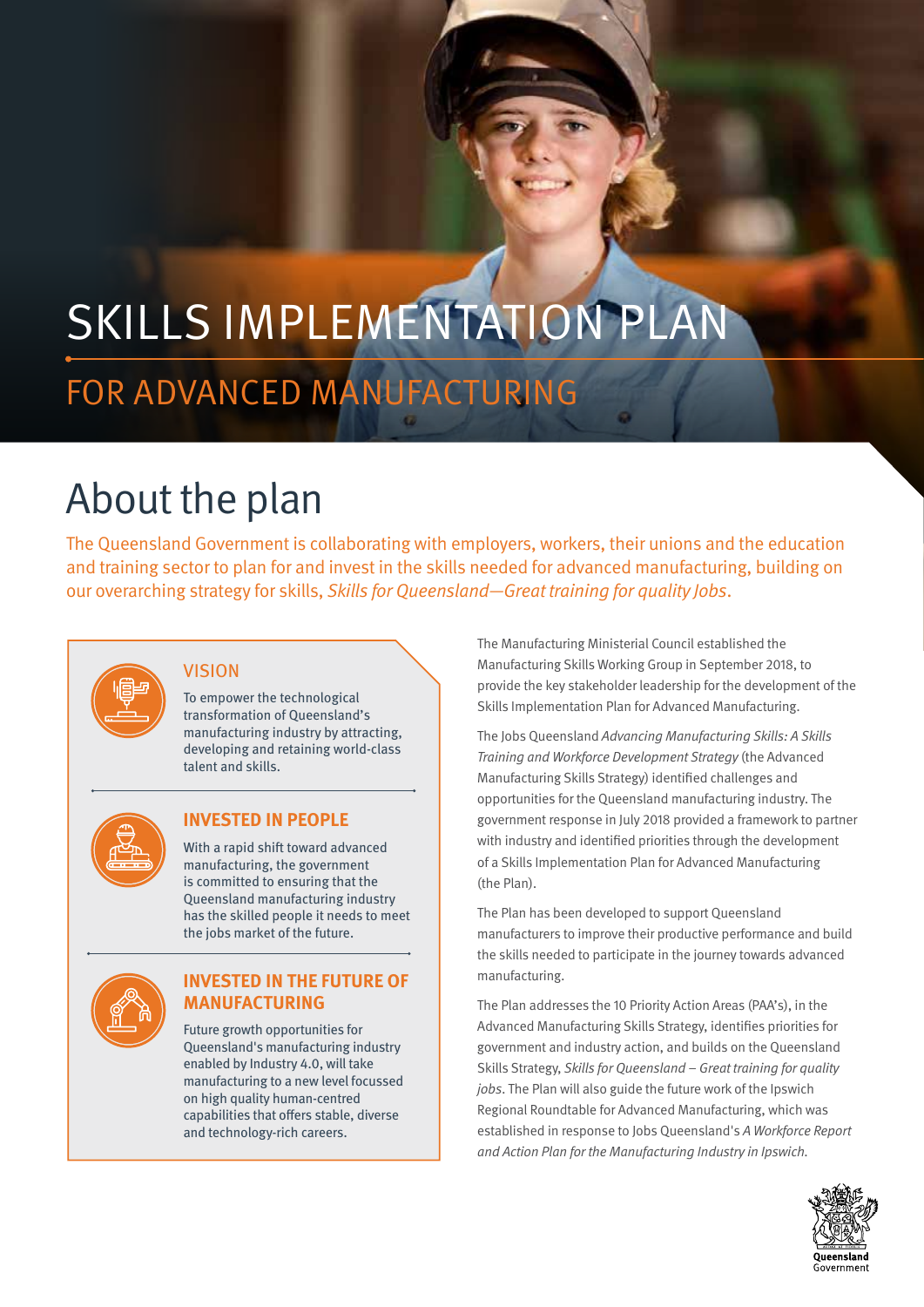# FOR ADVANCED MANUFACTURING SKILLS IMPLEMENTATION PLAN

## About the plan

The Queensland Government is collaborating with employers, workers, their unions and the education and training sector to plan for and invest in the skills needed for advanced manufacturing, building on our overarching strategy for skills, Skills for Queensland—Great training for quality Jobs.



#### **VISION**

To empower the technological transformation of Queensland's manufacturing industry by attracting, developing and retaining world-class talent and skills.



#### **INVESTED IN PEOPLE**

With a rapid shift toward advanced manufacturing, the government is committed to ensuring that the Queensland manufacturing industry has the skilled people it needs to meet the jobs market of the future.



#### **INVESTED IN THE FUTURE OF MANUFACTURING**

Future growth opportunities for Queensland's manufacturing industry enabled by Industry 4.0, will take manufacturing to a new level focussed on high quality human-centred capabilities that offers stable, diverse and technology-rich careers.

The Manufacturing Ministerial Council established the Manufacturing Skills Working Group in September 2018, to provide the key stakeholder leadership for the development of the Skills Implementation Plan for Advanced Manufacturing.

The Jobs Queensland Advancing Manufacturing Skills: A Skills Training and Workforce Development Strategy (the Advanced Manufacturing Skills Strategy) identified challenges and opportunities for the Queensland manufacturing industry. The government response in July 2018 provided a framework to partner with industry and identified priorities through the development of a Skills Implementation Plan for Advanced Manufacturing (the Plan).

The Plan has been developed to support Queensland manufacturers to improve their productive performance and build the skills needed to participate in the journey towards advanced manufacturing.

The Plan addresses the 10 Priority Action Areas (PAA's), in the Advanced Manufacturing Skills Strategy, identifies priorities for government and industry action, and builds on the Queensland Skills Strategy, Skills for Queensland – Great training for quality jobs. The Plan will also guide the future work of the Ipswich Regional Roundtable for Advanced Manufacturing, which was established in response to Jobs Queensland's A Workforce Report and Action Plan for the Manufacturing Industry in Ipswich.

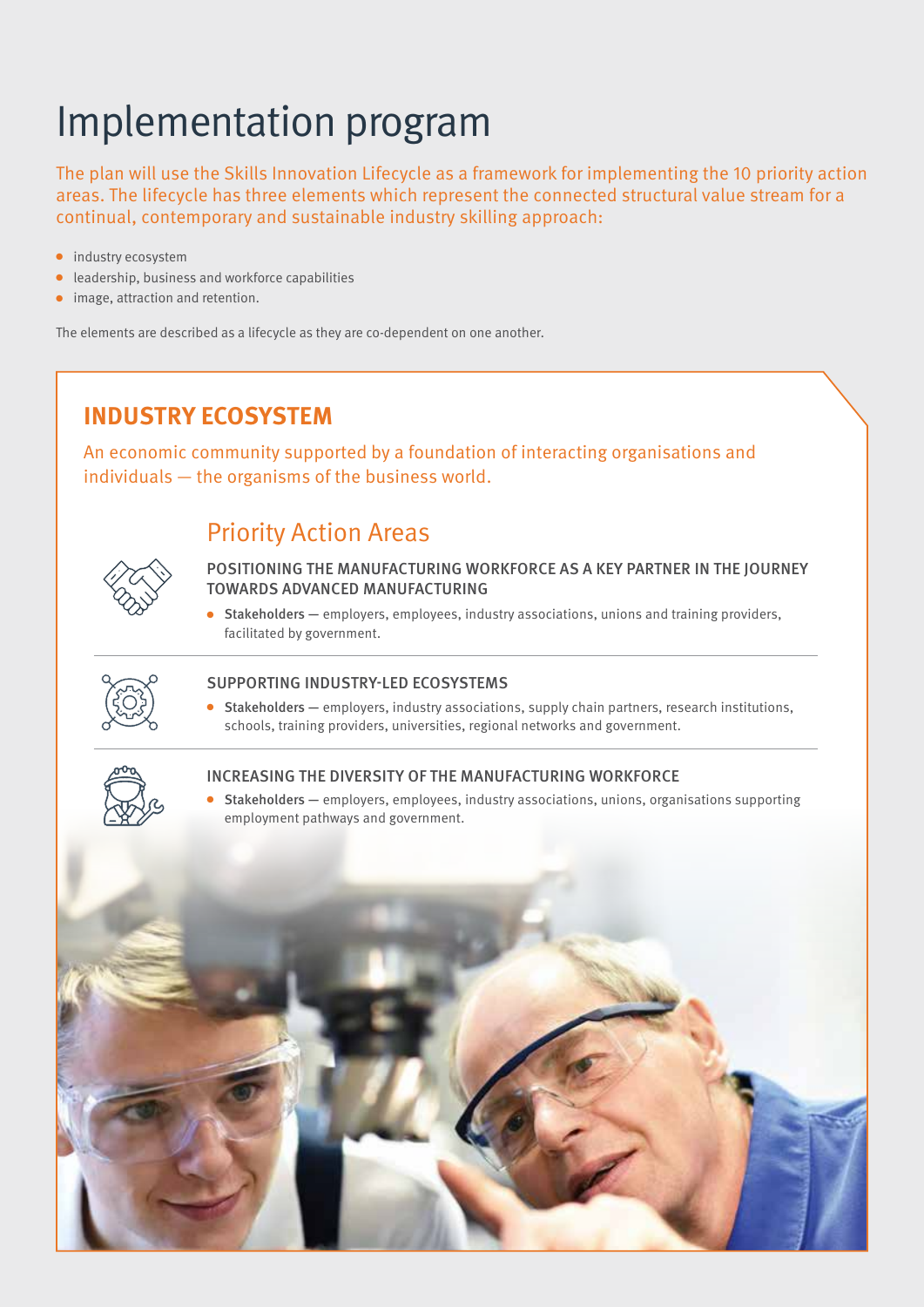## Implementation program

The plan will use the Skills Innovation Lifecycle as a framework for implementing the 10 priority action areas. The lifecycle has three elements which represent the connected structural value stream for a continual, contemporary and sustainable industry skilling approach:

- **●** industry ecosystem
- **●** leadership, business and workforce capabilities
- **●** image, attraction and retention.

The elements are described as a lifecycle as they are co-dependent on one another.

### **INDUSTRY ECOSYSTEM**

An economic community supported by a foundation of interacting organisations and individuals — the organisms of the business world.

### Priority Action Areas



POSITIONING THE MANUFACTURING WORKFORCE AS A KEY PARTNER IN THE JOURNEY TOWARDS ADVANCED MANUFACTURING

**●** Stakeholders — employers, employees, industry associations, unions and training providers, facilitated by government.



#### SUPPORTING INDUSTRY-LED ECOSYSTEMS

**●** Stakeholders — employers, industry associations, supply chain partners, research institutions, schools, training providers, universities, regional networks and government.



#### INCREASING THE DIVERSITY OF THE MANUFACTURING WORKFORCE

**●** Stakeholders — employers, employees, industry associations, unions, organisations supporting employment pathways and government.

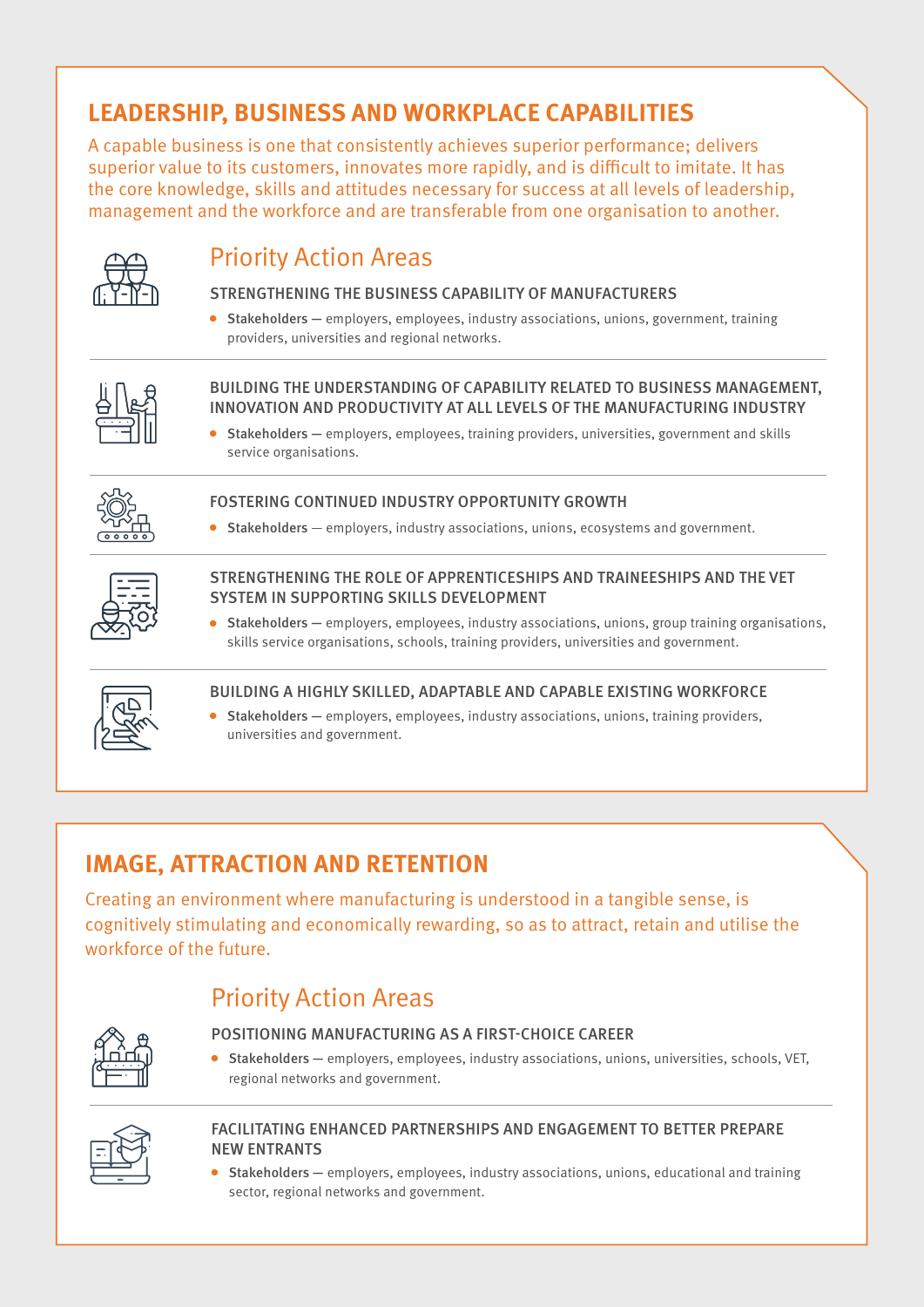## **LEADERSHIP, BUSINESS AND WORKPLACE CAPABILITIES**

A capable business is one that consistently achieves superior performance; delivers superior value to its customers, innovates more rapidly, and is difficult to imitate. It has the core knowledge, skills and attitudes necessary for success at all levels of leadership, management and the workforce and are transferable from one organisation to another.



### Priority Action Areas

#### STRENGTHENING THE BUSINESS CAPABILITY OF MANUFACTURERS

● Stakeholders — employers, employees, industry associations, unions, government, training providers, universities and regional networks.



#### BUILDING THE UNDERSTANDING OF CAPABILITY RELATED TO BUSINESS MANAGEMENT, INNOVATION AND PRODUCTIVITY AT ALL LEVELS OF THE MANUFACTURING INDUSTRY

**●** Stakeholders — employers, employees, training providers, universities, government and skills service organisations.



#### FOSTERING CONTINUED INDUSTRY OPPORTUNITY GROWTH

**●** Stakeholders — employers, industry associations, unions, ecosystems and government.



#### STRENGTHENING THE ROLE OF APPRENTICESHIPS AND TRAINEESHIPS AND THE VET SYSTEM IN SUPPORTING SKILLS DEVELOPMENT

**●** Stakeholders — employers, employees, industry associations, unions, group training organisations, skills service organisations, schools, training providers, universities and government.



#### BUILDING A HIGHLY SKILLED, ADAPTABLE AND CAPABLE EXISTING WORKFORCE

● Stakeholders — employers, employees, industry associations, unions, training providers, universities and government.

## **IMAGE, ATTRACTION AND RETENTION**

Creating an environment where manufacturing is understood in a tangible sense, is cognitively stimulating and economically rewarding, so as to attract, retain and utilise the workforce of the future.

## Priority Action Areas



#### POSITIONING MANUFACTURING AS A FIRST-CHOICE CAREER

Stakeholders — employers, employees, industry associations, unions, universities, schools, VET, regional networks and government.



#### FACILITATING ENHANCED PARTNERSHIPS AND ENGAGEMENT TO BETTER PREPARE NEW ENTRANTS

**●** Stakeholders — employers, employees, industry associations, unions, educational and training sector, regional networks and government.